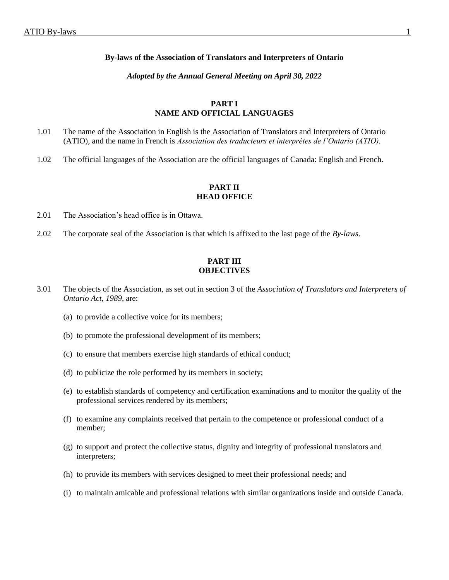#### **By-laws of the Association of Translators and Interpreters of Ontario**

#### *Adopted by the Annual General Meeting on April 30, 2022*

## **PART I NAME AND OFFICIAL LANGUAGES**

- 1.01 The name of the Association in English is the Association of Translators and Interpreters of Ontario (ATIO), and the name in French is *Association des traducteurs et interprètes de l'Ontario (ATIO).*
- 1.02 The official languages of the Association are the official languages of Canada: English and French.

### **PART II HEAD OFFICE**

- 2.01 The Association's head office is in Ottawa.
- 2.02 The corporate seal of the Association is that which is affixed to the last page of the *By-laws*.

# **PART III OBJECTIVES**

- 3.01 The objects of the Association, as set out in section 3 of the *Association of Translators and Interpreters of Ontario Act, 1989*, are:
	- (a) to provide a collective voice for its members;
	- (b) to promote the professional development of its members;
	- (c) to ensure that members exercise high standards of ethical conduct;
	- (d) to publicize the role performed by its members in society;
	- (e) to establish standards of competency and certification examinations and to monitor the quality of the professional services rendered by its members;
	- (f) to examine any complaints received that pertain to the competence or professional conduct of a member;
	- (g) to support and protect the collective status, dignity and integrity of professional translators and interpreters;
	- (h) to provide its members with services designed to meet their professional needs; and
	- (i) to maintain amicable and professional relations with similar organizations inside and outside Canada.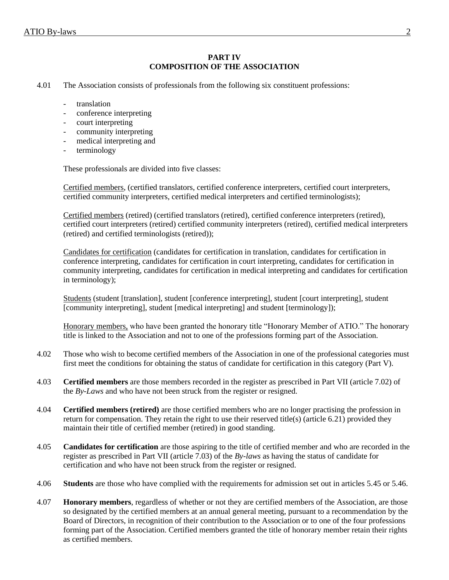# **PART IV COMPOSITION OF THE ASSOCIATION**

- 4.01 The Association consists of professionals from the following six constituent professions:
	- translation
	- conference interpreting
	- court interpreting
	- community interpreting
	- medical interpreting and
	- terminology

These professionals are divided into five classes:

Certified members, (certified translators, certified conference interpreters, certified court interpreters, certified community interpreters, certified medical interpreters and certified terminologists);

Certified members (retired) (certified translators (retired), certified conference interpreters (retired), certified court interpreters (retired) certified community interpreters (retired), certified medical interpreters (retired) and certified terminologists (retired));

Candidates for certification (candidates for certification in translation, candidates for certification in conference interpreting, candidates for certification in court interpreting, candidates for certification in community interpreting, candidates for certification in medical interpreting and candidates for certification in terminology);

Students (student [translation], student [conference interpreting], student [court interpreting], student [community interpreting], student [medical interpreting] and student [terminology]);

Honorary members, who have been granted the honorary title "Honorary Member of ATIO." The honorary title is linked to the Association and not to one of the professions forming part of the Association.

- 4.02 Those who wish to become certified members of the Association in one of the professional categories must first meet the conditions for obtaining the status of candidate for certification in this category (Part V).
- 4.03 **Certified members** are those members recorded in the register as prescribed in Part VII (article 7.02) of the *By-Laws* and who have not been struck from the register or resigned.
- 4.04 **Certified members (retired)** are those certified members who are no longer practising the profession in return for compensation. They retain the right to use their reserved title(s) (article 6.21) provided they maintain their title of certified member (retired) in good standing.
- 4.05 **Candidates for certification** are those aspiring to the title of certified member and who are recorded in the register as prescribed in Part VII (article 7.03) of the *By-laws* as having the status of candidate for certification and who have not been struck from the register or resigned.
- 4.06 **Students** are those who have complied with the requirements for admission set out in articles 5.45 or 5.46.
- 4.07 **Honorary members**, regardless of whether or not they are certified members of the Association, are those so designated by the certified members at an annual general meeting, pursuant to a recommendation by the Board of Directors, in recognition of their contribution to the Association or to one of the four professions forming part of the Association. Certified members granted the title of honorary member retain their rights as certified members.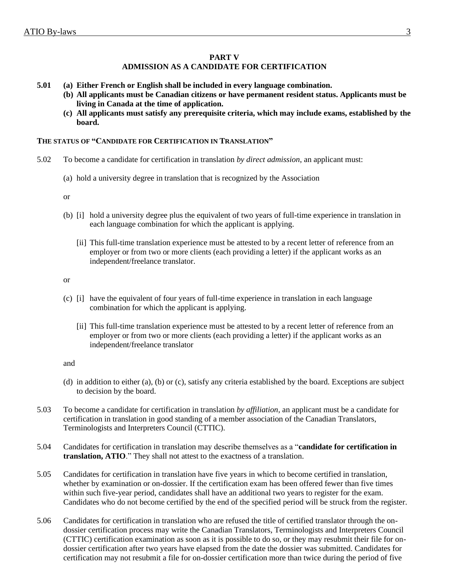### **PART V**

# **ADMISSION AS A CANDIDATE FOR CERTIFICATION**

- **5.01 (a) Either French or English shall be included in every language combination.**
	- **(b) All applicants must be Canadian citizens or have permanent resident status. Applicants must be living in Canada at the time of application.**
		- **(c) All applicants must satisfy any prerequisite criteria, which may include exams, established by the board.**

### **THE STATUS OF "CANDIDATE FOR CERTIFICATION IN TRANSLATION"**

- 5.02 To become a candidate for certification in translation *by direct admission*, an applicant must:
	- (a) hold a university degree in translation that is recognized by the Association

or

- (b) [i] hold a university degree plus the equivalent of two years of full-time experience in translation in each language combination for which the applicant is applying.
	- [ii] This full-time translation experience must be attested to by a recent letter of reference from an employer or from two or more clients (each providing a letter) if the applicant works as an independent/freelance translator.

or

- (c) [i] have the equivalent of four years of full-time experience in translation in each language combination for which the applicant is applying.
	- [ii] This full-time translation experience must be attested to by a recent letter of reference from an employer or from two or more clients (each providing a letter) if the applicant works as an independent/freelance translator

- (d) in addition to either (a), (b) or (c), satisfy any criteria established by the board. Exceptions are subject to decision by the board.
- 5.03 To become a candidate for certification in translation *by affiliation*, an applicant must be a candidate for certification in translation in good standing of a member association of the Canadian Translators, Terminologists and Interpreters Council (CTTIC).
- 5.04 Candidates for certification in translation may describe themselves as a "**candidate for certification in translation, ATIO**." They shall not attest to the exactness of a translation.
- 5.05 Candidates for certification in translation have five years in which to become certified in translation, whether by examination or on-dossier. If the certification exam has been offered fewer than five times within such five-year period, candidates shall have an additional two years to register for the exam. Candidates who do not become certified by the end of the specified period will be struck from the register.
- 5.06 Candidates for certification in translation who are refused the title of certified translator through the ondossier certification process may write the Canadian Translators, Terminologists and Interpreters Council (CTTIC) certification examination as soon as it is possible to do so, or they may resubmit their file for ondossier certification after two years have elapsed from the date the dossier was submitted. Candidates for certification may not resubmit a file for on-dossier certification more than twice during the period of five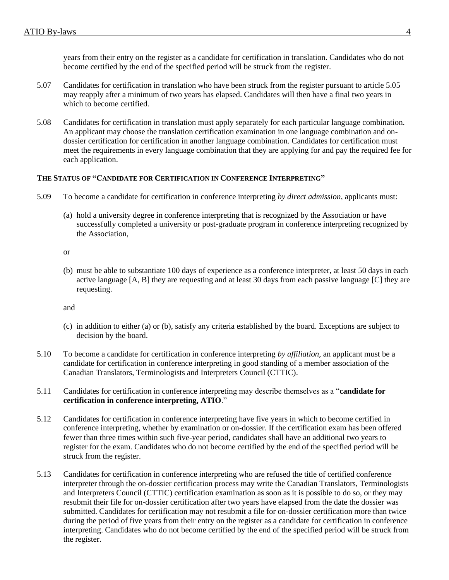years from their entry on the register as a candidate for certification in translation. Candidates who do not become certified by the end of the specified period will be struck from the register.

- 5.07 Candidates for certification in translation who have been struck from the register pursuant to article 5.05 may reapply after a minimum of two years has elapsed. Candidates will then have a final two years in which to become certified.
- 5.08 Candidates for certification in translation must apply separately for each particular language combination. An applicant may choose the translation certification examination in one language combination and ondossier certification for certification in another language combination. Candidates for certification must meet the requirements in every language combination that they are applying for and pay the required fee for each application.

# **THE STATUS OF "CANDIDATE FOR CERTIFICATION IN CONFERENCE INTERPRETING"**

- 5.09 To become a candidate for certification in conference interpreting *by direct admission*, applicants must:
	- (a) hold a university degree in conference interpreting that is recognized by the Association or have successfully completed a university or post-graduate program in conference interpreting recognized by the Association,

or

(b) must be able to substantiate 100 days of experience as a conference interpreter, at least 50 days in each active language [A, B] they are requesting and at least 30 days from each passive language [C] they are requesting.

- (c) in addition to either (a) or (b), satisfy any criteria established by the board. Exceptions are subject to decision by the board.
- 5.10 To become a candidate for certification in conference interpreting *by affiliation*, an applicant must be a candidate for certification in conference interpreting in good standing of a member association of the Canadian Translators, Terminologists and Interpreters Council (CTTIC).
- 5.11 Candidates for certification in conference interpreting may describe themselves as a "**candidate for certification in conference interpreting, ATIO**."
- 5.12 Candidates for certification in conference interpreting have five years in which to become certified in conference interpreting, whether by examination or on-dossier. If the certification exam has been offered fewer than three times within such five-year period, candidates shall have an additional two years to register for the exam. Candidates who do not become certified by the end of the specified period will be struck from the register.
- 5.13 Candidates for certification in conference interpreting who are refused the title of certified conference interpreter through the on-dossier certification process may write the Canadian Translators, Terminologists and Interpreters Council (CTTIC) certification examination as soon as it is possible to do so, or they may resubmit their file for on-dossier certification after two years have elapsed from the date the dossier was submitted. Candidates for certification may not resubmit a file for on-dossier certification more than twice during the period of five years from their entry on the register as a candidate for certification in conference interpreting. Candidates who do not become certified by the end of the specified period will be struck from the register.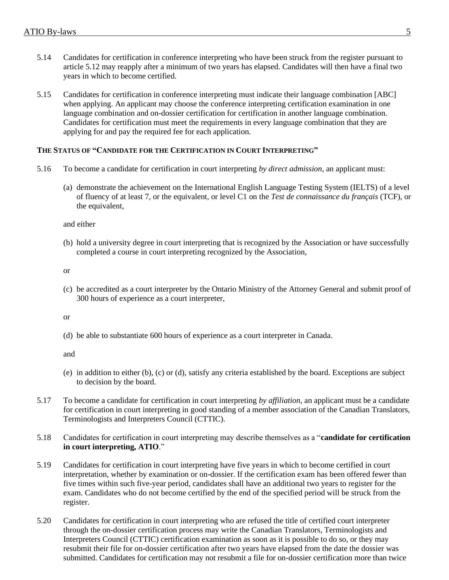- 5.14 Candidates for certification in conference interpreting who have been struck from the register pursuant to article 5.12 may reapply after a minimum of two years has elapsed. Candidates will then have a final two years in which to become certified.
- 5.15 Candidates for certification in conference interpreting must indicate their language combination [ABC] when applying. An applicant may choose the conference interpreting certification examination in one language combination and on-dossier certification for certification in another language combination. Candidates for certification must meet the requirements in every language combination that they are applying for and pay the required fee for each application.

#### **THE STATUS OF "CANDIDATE FOR THE CERTIFICATION IN COURT INTERPRETING"**

- 5.16 To become a candidate for certification in court interpreting *by direct admission*, an applicant must:
	- (a) demonstrate the achievement on the International English Language Testing System (IELTS) of a level of fluency of at least 7, or the equivalent, or level C1 on the *Test de connaissance du français* (TCF), or the equivalent,

and either

(b) hold a university degree in court interpreting that is recognized by the Association or have successfully completed a course in court interpreting recognized by the Association,

or

(c) be accredited as a court interpreter by the Ontario Ministry of the Attorney General and submit proof of 300 hours of experience as a court interpreter,

or

(d) be able to substantiate 600 hours of experience as a court interpreter in Canada.

- (e) in addition to either (b), (c) or (d), satisfy any criteria established by the board. Exceptions are subject to decision by the board.
- 5.17 To become a candidate for certification in court interpreting *by affiliation*, an applicant must be a candidate for certification in court interpreting in good standing of a member association of the Canadian Translators, Terminologists and Interpreters Council (CTTIC).
- 5.18 Candidates for certification in court interpreting may describe themselves as a "**candidate for certification in court interpreting, ATIO**."
- 5.19 Candidates for certification in court interpreting have five years in which to become certified in court interpretation, whether by examination or on-dossier. If the certification exam has been offered fewer than five times within such five-year period, candidates shall have an additional two years to register for the exam. Candidates who do not become certified by the end of the specified period will be struck from the register.
- 5.20 Candidates for certification in court interpreting who are refused the title of certified court interpreter through the on-dossier certification process may write the Canadian Translators, Terminologists and Interpreters Council (CTTIC) certification examination as soon as it is possible to do so, or they may resubmit their file for on-dossier certification after two years have elapsed from the date the dossier was submitted. Candidates for certification may not resubmit a file for on-dossier certification more than twice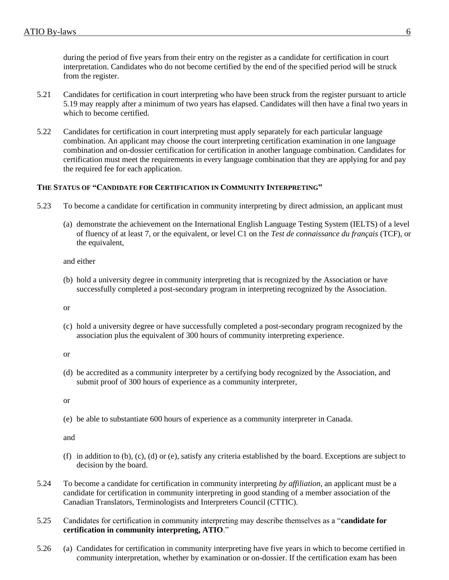during the period of five years from their entry on the register as a candidate for certification in court interpretation. Candidates who do not become certified by the end of the specified period will be struck from the register.

- 5.21 Candidates for certification in court interpreting who have been struck from the register pursuant to article 5.19 may reapply after a minimum of two years has elapsed. Candidates will then have a final two years in which to become certified.
- 5.22 Candidates for certification in court interpreting must apply separately for each particular language combination. An applicant may choose the court interpreting certification examination in one language combination and on-dossier certification for certification in another language combination. Candidates for certification must meet the requirements in every language combination that they are applying for and pay the required fee for each application.

# **THE STATUS OF "CANDIDATE FOR CERTIFICATION IN COMMUNITY INTERPRETING"**

- 5.23 To become a candidate for certification in community interpreting by direct admission, an applicant must
	- (a) demonstrate the achievement on the International English Language Testing System (IELTS) of a level of fluency of at least 7, or the equivalent, or level C1 on the *Test de connaissance du français* (TCF), or the equivalent,

and either

(b) hold a university degree in community interpreting that is recognized by the Association or have successfully completed a post-secondary program in interpreting recognized by the Association.

or

(c) hold a university degree or have successfully completed a post-secondary program recognized by the association plus the equivalent of 300 hours of community interpreting experience.

or

(d) be accredited as a community interpreter by a certifying body recognized by the Association, and submit proof of 300 hours of experience as a community interpreter,

or

(e) be able to substantiate 600 hours of experience as a community interpreter in Canada.

- (f) in addition to  $(b)$ ,  $(c)$ ,  $(d)$  or  $(e)$ , satisfy any criteria established by the board. Exceptions are subject to decision by the board.
- 5.24 To become a candidate for certification in community interpreting *by affiliation*, an applicant must be a candidate for certification in community interpreting in good standing of a member association of the Canadian Translators, Terminologists and Interpreters Council (CTTIC).
- 5.25 Candidates for certification in community interpreting may describe themselves as a "**candidate for certification in community interpreting, ATIO**."
- 5.26 (a) Candidates for certification in community interpreting have five years in which to become certified in community interpretation, whether by examination or on-dossier. If the certification exam has been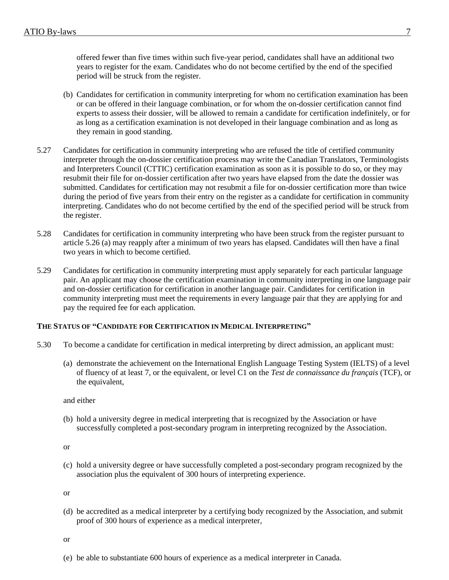offered fewer than five times within such five-year period, candidates shall have an additional two years to register for the exam. Candidates who do not become certified by the end of the specified period will be struck from the register.

- (b) Candidates for certification in community interpreting for whom no certification examination has been or can be offered in their language combination, or for whom the on-dossier certification cannot find experts to assess their dossier, will be allowed to remain a candidate for certification indefinitely, or for as long as a certification examination is not developed in their language combination and as long as they remain in good standing.
- 5.27 Candidates for certification in community interpreting who are refused the title of certified community interpreter through the on-dossier certification process may write the Canadian Translators, Terminologists and Interpreters Council (CTTIC) certification examination as soon as it is possible to do so, or they may resubmit their file for on-dossier certification after two years have elapsed from the date the dossier was submitted. Candidates for certification may not resubmit a file for on-dossier certification more than twice during the period of five years from their entry on the register as a candidate for certification in community interpreting. Candidates who do not become certified by the end of the specified period will be struck from the register.
- 5.28 Candidates for certification in community interpreting who have been struck from the register pursuant to article 5.26 (a) may reapply after a minimum of two years has elapsed. Candidates will then have a final two years in which to become certified.
- 5.29 Candidates for certification in community interpreting must apply separately for each particular language pair. An applicant may choose the certification examination in community interpreting in one language pair and on-dossier certification for certification in another language pair. Candidates for certification in community interpreting must meet the requirements in every language pair that they are applying for and pay the required fee for each application.

# **THE STATUS OF "CANDIDATE FOR CERTIFICATION IN MEDICAL INTERPRETING"**

- 5.30 To become a candidate for certification in medical interpreting by direct admission, an applicant must:
	- (a) demonstrate the achievement on the International English Language Testing System (IELTS) of a level of fluency of at least 7, or the equivalent, or level C1 on the *Test de connaissance du français* (TCF), or the equivalent,

and either

(b) hold a university degree in medical interpreting that is recognized by the Association or have successfully completed a post-secondary program in interpreting recognized by the Association.

or

(c) hold a university degree or have successfully completed a post-secondary program recognized by the association plus the equivalent of 300 hours of interpreting experience.

or

(d) be accredited as a medical interpreter by a certifying body recognized by the Association, and submit proof of 300 hours of experience as a medical interpreter,

or

(e) be able to substantiate 600 hours of experience as a medical interpreter in Canada.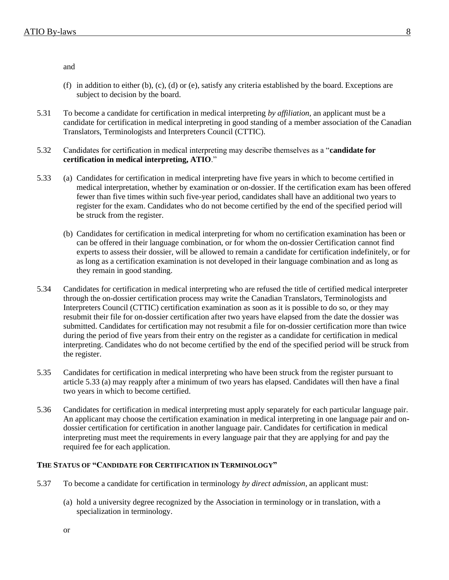and

- (f) in addition to either (b), (c), (d) or (e), satisfy any criteria established by the board. Exceptions are subject to decision by the board.
- 5.31 To become a candidate for certification in medical interpreting *by affiliation*, an applicant must be a candidate for certification in medical interpreting in good standing of a member association of the Canadian Translators, Terminologists and Interpreters Council (CTTIC).
- 5.32 Candidates for certification in medical interpreting may describe themselves as a "**candidate for certification in medical interpreting, ATIO**."
- 5.33 (a) Candidates for certification in medical interpreting have five years in which to become certified in medical interpretation, whether by examination or on-dossier. If the certification exam has been offered fewer than five times within such five-year period, candidates shall have an additional two years to register for the exam. Candidates who do not become certified by the end of the specified period will be struck from the register.
	- (b) Candidates for certification in medical interpreting for whom no certification examination has been or can be offered in their language combination, or for whom the on-dossier Certification cannot find experts to assess their dossier, will be allowed to remain a candidate for certification indefinitely, or for as long as a certification examination is not developed in their language combination and as long as they remain in good standing.
- 5.34 Candidates for certification in medical interpreting who are refused the title of certified medical interpreter through the on-dossier certification process may write the Canadian Translators, Terminologists and Interpreters Council (CTTIC) certification examination as soon as it is possible to do so, or they may resubmit their file for on-dossier certification after two years have elapsed from the date the dossier was submitted. Candidates for certification may not resubmit a file for on-dossier certification more than twice during the period of five years from their entry on the register as a candidate for certification in medical interpreting. Candidates who do not become certified by the end of the specified period will be struck from the register.
- 5.35 Candidates for certification in medical interpreting who have been struck from the register pursuant to article 5.33 (a) may reapply after a minimum of two years has elapsed. Candidates will then have a final two years in which to become certified.
- 5.36 Candidates for certification in medical interpreting must apply separately for each particular language pair. An applicant may choose the certification examination in medical interpreting in one language pair and ondossier certification for certification in another language pair. Candidates for certification in medical interpreting must meet the requirements in every language pair that they are applying for and pay the required fee for each application.

# **THE STATUS OF "CANDIDATE FOR CERTIFICATION IN TERMINOLOGY"**

- 5.37 To become a candidate for certification in terminology *by direct admission*, an applicant must:
	- (a) hold a university degree recognized by the Association in terminology or in translation, with a specialization in terminology.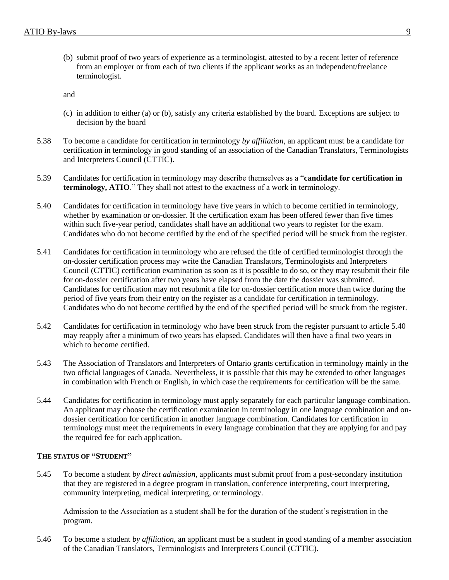(b) submit proof of two years of experience as a terminologist, attested to by a recent letter of reference from an employer or from each of two clients if the applicant works as an independent/freelance terminologist.

and

- (c) in addition to either (a) or (b), satisfy any criteria established by the board. Exceptions are subject to decision by the board
- 5.38 To become a candidate for certification in terminology *by affiliation*, an applicant must be a candidate for certification in terminology in good standing of an association of the Canadian Translators, Terminologists and Interpreters Council (CTTIC).
- 5.39 Candidates for certification in terminology may describe themselves as a "**candidate for certification in terminology, ATIO**." They shall not attest to the exactness of a work in terminology.
- 5.40 Candidates for certification in terminology have five years in which to become certified in terminology, whether by examination or on-dossier. If the certification exam has been offered fewer than five times within such five-year period, candidates shall have an additional two years to register for the exam. Candidates who do not become certified by the end of the specified period will be struck from the register.
- 5.41 Candidates for certification in terminology who are refused the title of certified terminologist through the on-dossier certification process may write the Canadian Translators, Terminologists and Interpreters Council (CTTIC) certification examination as soon as it is possible to do so, or they may resubmit their file for on-dossier certification after two years have elapsed from the date the dossier was submitted. Candidates for certification may not resubmit a file for on-dossier certification more than twice during the period of five years from their entry on the register as a candidate for certification in terminology. Candidates who do not become certified by the end of the specified period will be struck from the register.
- 5.42 Candidates for certification in terminology who have been struck from the register pursuant to article 5.40 may reapply after a minimum of two years has elapsed. Candidates will then have a final two years in which to become certified.
- 5.43 The Association of Translators and Interpreters of Ontario grants certification in terminology mainly in the two official languages of Canada. Nevertheless, it is possible that this may be extended to other languages in combination with French or English, in which case the requirements for certification will be the same.
- 5.44 Candidates for certification in terminology must apply separately for each particular language combination. An applicant may choose the certification examination in terminology in one language combination and ondossier certification for certification in another language combination. Candidates for certification in terminology must meet the requirements in every language combination that they are applying for and pay the required fee for each application.

#### **THE STATUS OF "STUDENT"**

5.45 To become a student *by direct admission*, applicants must submit proof from a post-secondary institution that they are registered in a degree program in translation, conference interpreting, court interpreting, community interpreting, medical interpreting, or terminology.

Admission to the Association as a student shall be for the duration of the student's registration in the program.

5.46 To become a student *by affiliation*, an applicant must be a student in good standing of a member association of the Canadian Translators, Terminologists and Interpreters Council (CTTIC).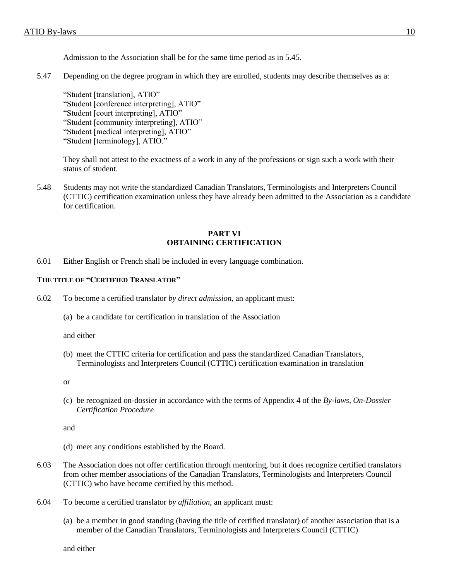Admission to the Association shall be for the same time period as in 5.45.

5.47 Depending on the degree program in which they are enrolled, students may describe themselves as a:

"Student [translation], ATIO" "Student [conference interpreting], ATIO" "Student [court interpreting], ATIO" "Student [community interpreting], ATIO" "Student [medical interpreting], ATIO" "Student [terminology], ATIO."

They shall not attest to the exactness of a work in any of the professions or sign such a work with their status of student.

5.48 Students may not write the standardized Canadian Translators, Terminologists and Interpreters Council (CTTIC) certification examination unless they have already been admitted to the Association as a candidate for certification.

### **PART VI OBTAINING CERTIFICATION**

6.01 Either English or French shall be included in every language combination.

## **THE TITLE OF "CERTIFIED TRANSLATOR"**

- 6.02 To become a certified translator *by direct admission*, an applicant must:
	- (a) be a candidate for certification in translation of the Association

and either

(b) meet the CTTIC criteria for certification and pass the standardized Canadian Translators, Terminologists and Interpreters Council (CTTIC) certification examination in translation

or

(c) be recognized on-dossier in accordance with the terms of Appendix 4 of the *By-laws*, *On-Dossier Certification Procedure*

and

- (d) meet any conditions established by the Board.
- 6.03 The Association does not offer certification through mentoring, but it does recognize certified translators from other member associations of the Canadian Translators, Terminologists and Interpreters Council (CTTIC) who have become certified by this method.
- 6.04 To become a certified translator *by affiliation*, an applicant must:
	- (a) be a member in good standing (having the title of certified translator) of another association that is a member of the Canadian Translators, Terminologists and Interpreters Council (CTTIC)

and either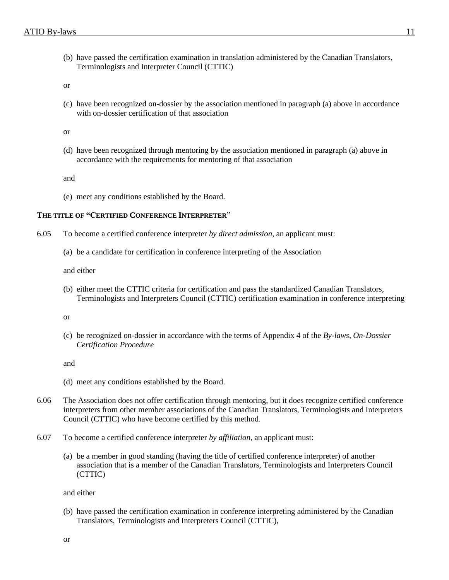(b) have passed the certification examination in translation administered by the Canadian Translators, Terminologists and Interpreter Council (CTTIC)

or

(c) have been recognized on-dossier by the association mentioned in paragraph (a) above in accordance with on-dossier certification of that association

or

(d) have been recognized through mentoring by the association mentioned in paragraph (a) above in accordance with the requirements for mentoring of that association

and

(e) meet any conditions established by the Board.

#### **THE TITLE OF "CERTIFIED CONFERENCE INTERPRETER**"

- 6.05 To become a certified conference interpreter *by direct admission*, an applicant must:
	- (a) be a candidate for certification in conference interpreting of the Association

and either

(b) either meet the CTTIC criteria for certification and pass the standardized Canadian Translators, Terminologists and Interpreters Council (CTTIC) certification examination in conference interpreting

or

(c) be recognized on-dossier in accordance with the terms of Appendix 4 of the *By-laws*, *On-Dossier Certification Procedure*

and

- (d) meet any conditions established by the Board.
- 6.06 The Association does not offer certification through mentoring, but it does recognize certified conference interpreters from other member associations of the Canadian Translators, Terminologists and Interpreters Council (CTTIC) who have become certified by this method.
- 6.07 To become a certified conference interpreter *by affiliation*, an applicant must:
	- (a) be a member in good standing (having the title of certified conference interpreter) of another association that is a member of the Canadian Translators, Terminologists and Interpreters Council (CTTIC)

and either

(b) have passed the certification examination in conference interpreting administered by the Canadian Translators, Terminologists and Interpreters Council (CTTIC),

or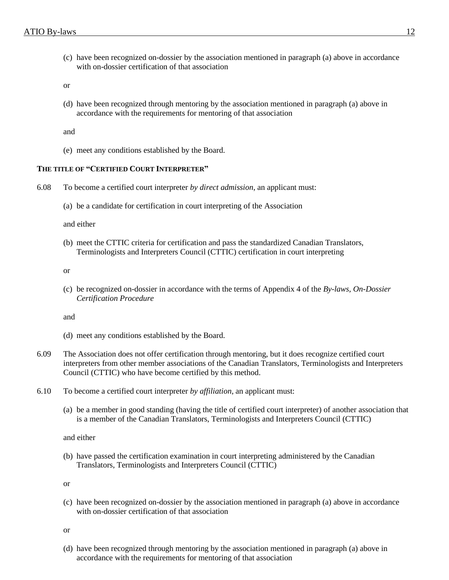(c) have been recognized on-dossier by the association mentioned in paragraph (a) above in accordance with on-dossier certification of that association

or

(d) have been recognized through mentoring by the association mentioned in paragraph (a) above in accordance with the requirements for mentoring of that association

and

(e) meet any conditions established by the Board.

# **THE TITLE OF "CERTIFIED COURT INTERPRETER"**

6.08 To become a certified court interpreter *by direct admission*, an applicant must:

(a) be a candidate for certification in court interpreting of the Association

and either

(b) meet the CTTIC criteria for certification and pass the standardized Canadian Translators, Terminologists and Interpreters Council (CTTIC) certification in court interpreting

or

(c) be recognized on-dossier in accordance with the terms of Appendix 4 of the *By-laws, On-Dossier Certification Procedure*

and

- (d) meet any conditions established by the Board.
- 6.09 The Association does not offer certification through mentoring, but it does recognize certified court interpreters from other member associations of the Canadian Translators, Terminologists and Interpreters Council (CTTIC) who have become certified by this method.
- 6.10 To become a certified court interpreter *by affiliation*, an applicant must:
	- (a) be a member in good standing (having the title of certified court interpreter) of another association that is a member of the Canadian Translators, Terminologists and Interpreters Council (CTTIC)

and either

(b) have passed the certification examination in court interpreting administered by the Canadian Translators, Terminologists and Interpreters Council (CTTIC)

or

(c) have been recognized on-dossier by the association mentioned in paragraph (a) above in accordance with on-dossier certification of that association

or

(d) have been recognized through mentoring by the association mentioned in paragraph (a) above in accordance with the requirements for mentoring of that association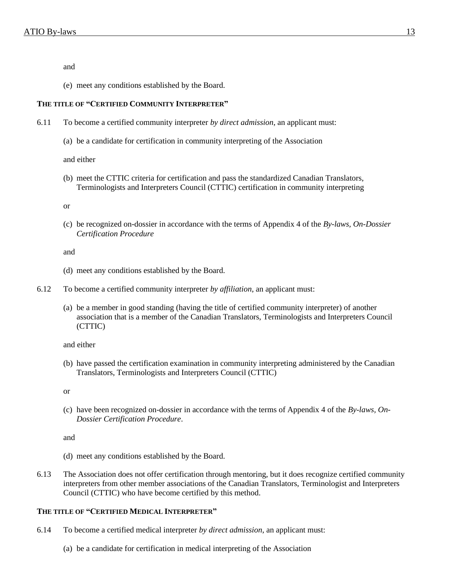and

(e) meet any conditions established by the Board.

### **THE TITLE OF "CERTIFIED COMMUNITY INTERPRETER"**

- 6.11 To become a certified community interpreter *by direct admission*, an applicant must:
	- (a) be a candidate for certification in community interpreting of the Association

and either

(b) meet the CTTIC criteria for certification and pass the standardized Canadian Translators, Terminologists and Interpreters Council (CTTIC) certification in community interpreting

or

(c) be recognized on-dossier in accordance with the terms of Appendix 4 of the *By-laws, On-Dossier Certification Procedure*

and

- (d) meet any conditions established by the Board.
- 6.12 To become a certified community interpreter *by affiliation*, an applicant must:
	- (a) be a member in good standing (having the title of certified community interpreter) of another association that is a member of the Canadian Translators, Terminologists and Interpreters Council (CTTIC)

and either

(b) have passed the certification examination in community interpreting administered by the Canadian Translators, Terminologists and Interpreters Council (CTTIC)

or

(c) have been recognized on-dossier in accordance with the terms of Appendix 4 of the *By-laws, On-Dossier Certification Procedure*.

and

- (d) meet any conditions established by the Board.
- 6.13 The Association does not offer certification through mentoring, but it does recognize certified community interpreters from other member associations of the Canadian Translators, Terminologist and Interpreters Council (CTTIC) who have become certified by this method.

# **THE TITLE OF "CERTIFIED MEDICAL INTERPRETER"**

- 6.14 To become a certified medical interpreter *by direct admission*, an applicant must:
	- (a) be a candidate for certification in medical interpreting of the Association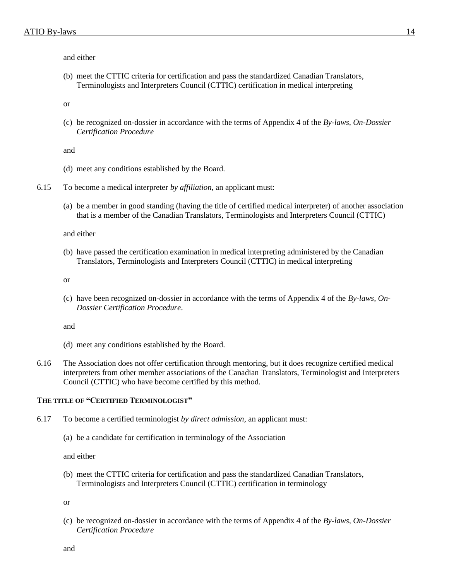and either

(b) meet the CTTIC criteria for certification and pass the standardized Canadian Translators, Terminologists and Interpreters Council (CTTIC) certification in medical interpreting

or

(c) be recognized on-dossier in accordance with the terms of Appendix 4 of the *By-laws, On-Dossier Certification Procedure*

and

- (d) meet any conditions established by the Board.
- 6.15 To become a medical interpreter *by affiliation*, an applicant must:
	- (a) be a member in good standing (having the title of certified medical interpreter) of another association that is a member of the Canadian Translators, Terminologists and Interpreters Council (CTTIC)

and either

(b) have passed the certification examination in medical interpreting administered by the Canadian Translators, Terminologists and Interpreters Council (CTTIC) in medical interpreting

or

(c) have been recognized on-dossier in accordance with the terms of Appendix 4 of the *By-laws, On-Dossier Certification Procedure*.

and

- (d) meet any conditions established by the Board.
- 6.16 The Association does not offer certification through mentoring, but it does recognize certified medical interpreters from other member associations of the Canadian Translators, Terminologist and Interpreters Council (CTTIC) who have become certified by this method.

#### **THE TITLE OF "CERTIFIED TERMINOLOGIST"**

- 6.17 To become a certified terminologist *by direct admission*, an applicant must:
	- (a) be a candidate for certification in terminology of the Association

and either

(b) meet the CTTIC criteria for certification and pass the standardized Canadian Translators, Terminologists and Interpreters Council (CTTIC) certification in terminology

or

(c) be recognized on-dossier in accordance with the terms of Appendix 4 of the *By-laws, On-Dossier Certification Procedure*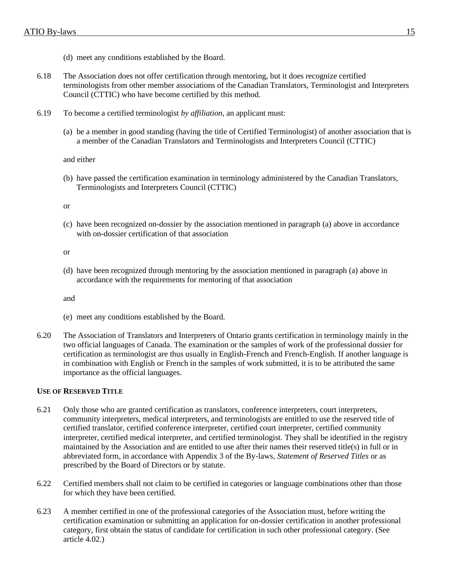- (d) meet any conditions established by the Board.
- 6.18 The Association does not offer certification through mentoring, but it does recognize certified terminologists from other member associations of the Canadian Translators, Terminologist and Interpreters Council (CTTIC) who have become certified by this method.
- 6.19 To become a certified terminologist *by affiliation*, an applicant must:
	- (a) be a member in good standing (having the title of Certified Terminologist) of another association that is a member of the Canadian Translators and Terminologists and Interpreters Council (CTTIC)

and either

(b) have passed the certification examination in terminology administered by the Canadian Translators, Terminologists and Interpreters Council (CTTIC)

or

(c) have been recognized on-dossier by the association mentioned in paragraph (a) above in accordance with on-dossier certification of that association

or

(d) have been recognized through mentoring by the association mentioned in paragraph (a) above in accordance with the requirements for mentoring of that association

and

- (e) meet any conditions established by the Board.
- 6.20 The Association of Translators and Interpreters of Ontario grants certification in terminology mainly in the two official languages of Canada. The examination or the samples of work of the professional dossier for certification as terminologist are thus usually in English-French and French-English. If another language is in combination with English or French in the samples of work submitted, it is to be attributed the same importance as the official languages.

### **USE OF RESERVED TITLE**

- 6.21 Only those who are granted certification as translators, conference interpreters, court interpreters, community interpreters, medical interpreters, and terminologists are entitled to use the reserved title of certified translator, certified conference interpreter, certified court interpreter, certified community interpreter, certified medical interpreter, and certified terminologist. They shall be identified in the registry maintained by the Association and are entitled to use after their names their reserved title(s) in full or in abbreviated form, in accordance with Appendix 3 of the By-laws, *Statement of Reserved Titles* or as prescribed by the Board of Directors or by statute.
- 6.22 Certified members shall not claim to be certified in categories or language combinations other than those for which they have been certified.
- 6.23 A member certified in one of the professional categories of the Association must, before writing the certification examination or submitting an application for on-dossier certification in another professional category, first obtain the status of candidate for certification in such other professional category. (See article 4.02.)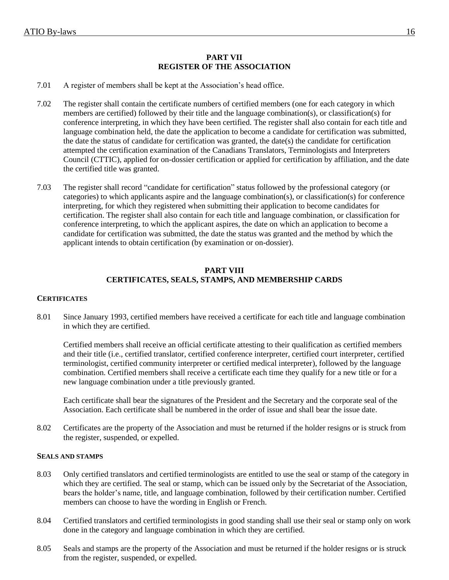# **PART VII REGISTER OF THE ASSOCIATION**

- 7.01 A register of members shall be kept at the Association's head office.
- 7.02 The register shall contain the certificate numbers of certified members (one for each category in which members are certified) followed by their title and the language combination(s), or classification(s) for conference interpreting, in which they have been certified. The register shall also contain for each title and language combination held, the date the application to become a candidate for certification was submitted, the date the status of candidate for certification was granted, the date(s) the candidate for certification attempted the certification examination of the Canadians Translators, Terminologists and Interpreters Council (CTTIC), applied for on-dossier certification or applied for certification by affiliation, and the date the certified title was granted.
- 7.03 The register shall record "candidate for certification" status followed by the professional category (or categories) to which applicants aspire and the language combination(s), or classification(s) for conference interpreting, for which they registered when submitting their application to become candidates for certification. The register shall also contain for each title and language combination, or classification for conference interpreting, to which the applicant aspires, the date on which an application to become a candidate for certification was submitted, the date the status was granted and the method by which the applicant intends to obtain certification (by examination or on-dossier).

# **PART VIII CERTIFICATES, SEALS, STAMPS, AND MEMBERSHIP CARDS**

# **CERTIFICATES**

8.01 Since January 1993, certified members have received a certificate for each title and language combination in which they are certified.

Certified members shall receive an official certificate attesting to their qualification as certified members and their title (i.e., certified translator, certified conference interpreter, certified court interpreter, certified terminologist, certified community interpreter or certified medical interpreter), followed by the language combination. Certified members shall receive a certificate each time they qualify for a new title or for a new language combination under a title previously granted.

Each certificate shall bear the signatures of the President and the Secretary and the corporate seal of the Association. Each certificate shall be numbered in the order of issue and shall bear the issue date.

8.02 Certificates are the property of the Association and must be returned if the holder resigns or is struck from the register, suspended, or expelled.

#### **SEALS AND STAMPS**

- 8.03 Only certified translators and certified terminologists are entitled to use the seal or stamp of the category in which they are certified. The seal or stamp, which can be issued only by the Secretariat of the Association, bears the holder's name, title, and language combination, followed by their certification number. Certified members can choose to have the wording in English or French.
- 8.04 Certified translators and certified terminologists in good standing shall use their seal or stamp only on work done in the category and language combination in which they are certified.
- 8.05 Seals and stamps are the property of the Association and must be returned if the holder resigns or is struck from the register, suspended, or expelled.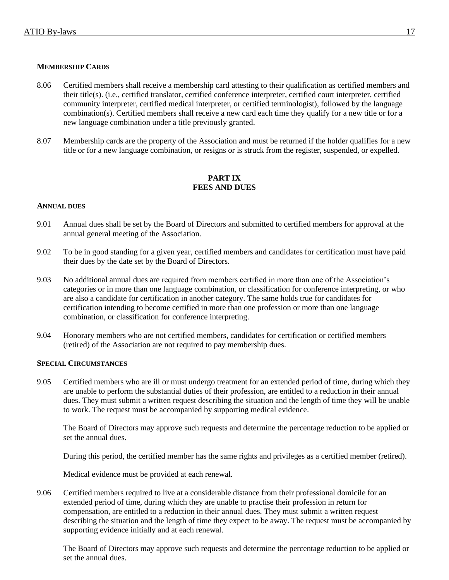# **MEMBERSHIP CARDS**

- 8.06 Certified members shall receive a membership card attesting to their qualification as certified members and their title(s). (i.e., certified translator, certified conference interpreter, certified court interpreter, certified community interpreter, certified medical interpreter, or certified terminologist), followed by the language combination(s). Certified members shall receive a new card each time they qualify for a new title or for a new language combination under a title previously granted.
- 8.07 Membership cards are the property of the Association and must be returned if the holder qualifies for a new title or for a new language combination, or resigns or is struck from the register, suspended, or expelled.

# **PART IX FEES AND DUES**

#### **ANNUAL DUES**

- 9.01 Annual dues shall be set by the Board of Directors and submitted to certified members for approval at the annual general meeting of the Association.
- 9.02 To be in good standing for a given year, certified members and candidates for certification must have paid their dues by the date set by the Board of Directors.
- 9.03 No additional annual dues are required from members certified in more than one of the Association's categories or in more than one language combination, or classification for conference interpreting, or who are also a candidate for certification in another category. The same holds true for candidates for certification intending to become certified in more than one profession or more than one language combination, or classification for conference interpreting.
- 9.04 Honorary members who are not certified members, candidates for certification or certified members (retired) of the Association are not required to pay membership dues.

#### **SPECIAL CIRCUMSTANCES**

9.05 Certified members who are ill or must undergo treatment for an extended period of time, during which they are unable to perform the substantial duties of their profession, are entitled to a reduction in their annual dues. They must submit a written request describing the situation and the length of time they will be unable to work. The request must be accompanied by supporting medical evidence.

The Board of Directors may approve such requests and determine the percentage reduction to be applied or set the annual dues.

During this period, the certified member has the same rights and privileges as a certified member (retired).

Medical evidence must be provided at each renewal.

9.06 Certified members required to live at a considerable distance from their professional domicile for an extended period of time, during which they are unable to practise their profession in return for compensation, are entitled to a reduction in their annual dues. They must submit a written request describing the situation and the length of time they expect to be away. The request must be accompanied by supporting evidence initially and at each renewal.

The Board of Directors may approve such requests and determine the percentage reduction to be applied or set the annual dues.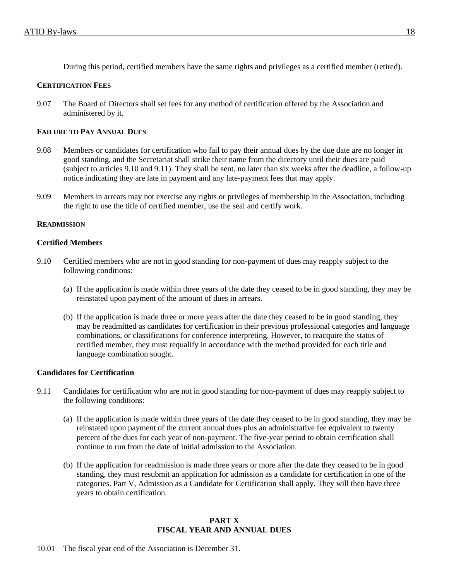During this period, certified members have the same rights and privileges as a certified member (retired).

## **CERTIFICATION FEES**

9.07 The Board of Directors shall set fees for any method of certification offered by the Association and administered by it.

### **FAILURE TO PAY ANNUAL DUES**

- 9.08 Members or candidates for certification who fail to pay their annual dues by the due date are no longer in good standing, and the Secretariat shall strike their name from the directory until their dues are paid (subject to articles 9.10 and 9.11). They shall be sent, no later than six weeks after the deadline, a follow-up notice indicating they are late in payment and any late-payment fees that may apply.
- 9.09 Members in arrears may not exercise any rights or privileges of membership in the Association, including the right to use the title of certified member, use the seal and certify work.

#### **READMISSION**

#### **Certified Members**

- 9.10 Certified members who are not in good standing for non-payment of dues may reapply subject to the following conditions:
	- (a) If the application is made within three years of the date they ceased to be in good standing, they may be reinstated upon payment of the amount of dues in arrears.
	- (b) If the application is made three or more years after the date they ceased to be in good standing, they may be readmitted as candidates for certification in their previous professional categories and language combinations, or classifications for conference interpreting. However, to reacquire the status of certified member, they must requalify in accordance with the method provided for each title and language combination sought.

#### **Candidates for Certification**

- 9.11 Candidates for certification who are not in good standing for non-payment of dues may reapply subject to the following conditions:
	- (a) If the application is made within three years of the date they ceased to be in good standing, they may be reinstated upon payment of the current annual dues plus an administrative fee equivalent to twenty percent of the dues for each year of non-payment. The five-year period to obtain certification shall continue to run from the date of initial admission to the Association.
	- (b) If the application for readmission is made three years or more after the date they ceased to be in good standing, they must resubmit an application for admission as a candidate for certification in one of the categories. Part V, Admission as a Candidate for Certification shall apply. They will then have three years to obtain certification.

# **PART X FISCAL YEAR AND ANNUAL DUES**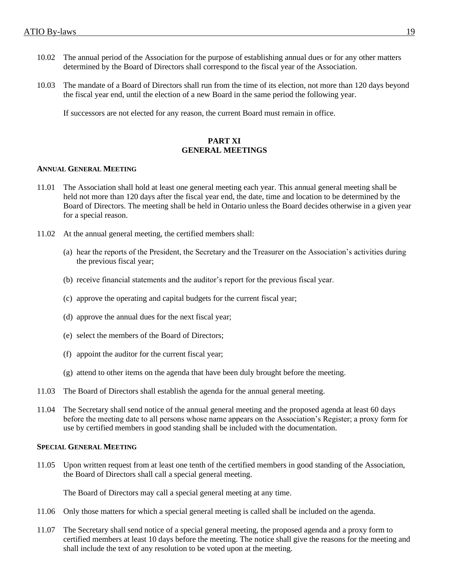- 10.02 The annual period of the Association for the purpose of establishing annual dues or for any other matters determined by the Board of Directors shall correspond to the fiscal year of the Association.
- 10.03 The mandate of a Board of Directors shall run from the time of its election, not more than 120 days beyond the fiscal year end, until the election of a new Board in the same period the following year.

If successors are not elected for any reason, the current Board must remain in office.

# **PART XI GENERAL MEETINGS**

#### **ANNUAL GENERAL MEETING**

- 11.01 The Association shall hold at least one general meeting each year. This annual general meeting shall be held not more than 120 days after the fiscal year end, the date, time and location to be determined by the Board of Directors. The meeting shall be held in Ontario unless the Board decides otherwise in a given year for a special reason.
- 11.02 At the annual general meeting, the certified members shall:
	- (a) hear the reports of the President, the Secretary and the Treasurer on the Association's activities during the previous fiscal year;
	- (b) receive financial statements and the auditor's report for the previous fiscal year.
	- (c) approve the operating and capital budgets for the current fiscal year;
	- (d) approve the annual dues for the next fiscal year;
	- (e) select the members of the Board of Directors;
	- (f) appoint the auditor for the current fiscal year;
	- (g) attend to other items on the agenda that have been duly brought before the meeting.
- 11.03 The Board of Directors shall establish the agenda for the annual general meeting.
- 11.04 The Secretary shall send notice of the annual general meeting and the proposed agenda at least 60 days before the meeting date to all persons whose name appears on the Association's Register; a proxy form for use by certified members in good standing shall be included with the documentation.

#### **SPECIAL GENERAL MEETING**

11.05 Upon written request from at least one tenth of the certified members in good standing of the Association, the Board of Directors shall call a special general meeting.

The Board of Directors may call a special general meeting at any time.

- 11.06 Only those matters for which a special general meeting is called shall be included on the agenda.
- 11.07 The Secretary shall send notice of a special general meeting, the proposed agenda and a proxy form to certified members at least 10 days before the meeting. The notice shall give the reasons for the meeting and shall include the text of any resolution to be voted upon at the meeting.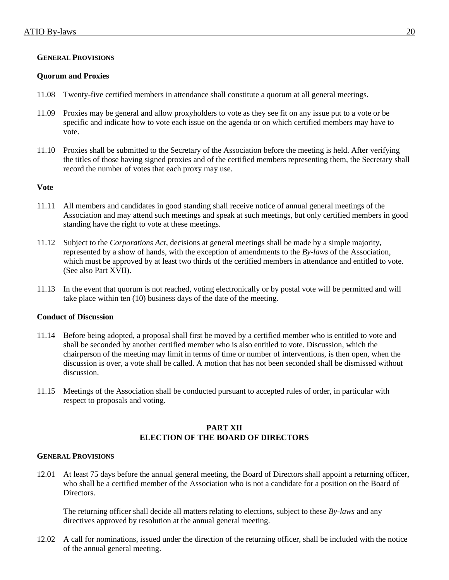# **GENERAL PROVISIONS**

# **Quorum and Proxies**

- 11.08 Twenty-five certified members in attendance shall constitute a quorum at all general meetings.
- 11.09 Proxies may be general and allow proxyholders to vote as they see fit on any issue put to a vote or be specific and indicate how to vote each issue on the agenda or on which certified members may have to vote.
- 11.10 Proxies shall be submitted to the Secretary of the Association before the meeting is held. After verifying the titles of those having signed proxies and of the certified members representing them, the Secretary shall record the number of votes that each proxy may use.

# **Vote**

- 11.11 All members and candidates in good standing shall receive notice of annual general meetings of the Association and may attend such meetings and speak at such meetings, but only certified members in good standing have the right to vote at these meetings.
- 11.12 Subject to the *Corporations Act*, decisions at general meetings shall be made by a simple majority, represented by a show of hands, with the exception of amendments to the *By-laws* of the Association, which must be approved by at least two thirds of the certified members in attendance and entitled to vote. (See also Part XVII).
- 11.13 In the event that quorum is not reached, voting electronically or by postal vote will be permitted and will take place within ten (10) business days of the date of the meeting.

# **Conduct of Discussion**

- 11.14 Before being adopted, a proposal shall first be moved by a certified member who is entitled to vote and shall be seconded by another certified member who is also entitled to vote. Discussion, which the chairperson of the meeting may limit in terms of time or number of interventions, is then open, when the discussion is over, a vote shall be called. A motion that has not been seconded shall be dismissed without discussion.
- 11.15 Meetings of the Association shall be conducted pursuant to accepted rules of order, in particular with respect to proposals and voting.

# **PART XII ELECTION OF THE BOARD OF DIRECTORS**

#### **GENERAL PROVISIONS**

12.01 At least 75 days before the annual general meeting, the Board of Directors shall appoint a returning officer, who shall be a certified member of the Association who is not a candidate for a position on the Board of Directors.

The returning officer shall decide all matters relating to elections, subject to these *By-laws* and any directives approved by resolution at the annual general meeting.

12.02 A call for nominations, issued under the direction of the returning officer, shall be included with the notice of the annual general meeting.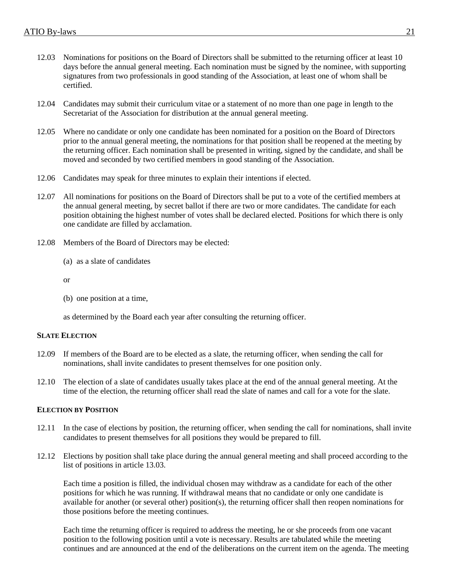- 12.03 Nominations for positions on the Board of Directors shall be submitted to the returning officer at least 10 days before the annual general meeting. Each nomination must be signed by the nominee, with supporting signatures from two professionals in good standing of the Association, at least one of whom shall be certified.
- 12.04 Candidates may submit their curriculum vitae or a statement of no more than one page in length to the Secretariat of the Association for distribution at the annual general meeting.
- 12.05 Where no candidate or only one candidate has been nominated for a position on the Board of Directors prior to the annual general meeting, the nominations for that position shall be reopened at the meeting by the returning officer. Each nomination shall be presented in writing, signed by the candidate, and shall be moved and seconded by two certified members in good standing of the Association.
- 12.06 Candidates may speak for three minutes to explain their intentions if elected.
- 12.07 All nominations for positions on the Board of Directors shall be put to a vote of the certified members at the annual general meeting, by secret ballot if there are two or more candidates. The candidate for each position obtaining the highest number of votes shall be declared elected. Positions for which there is only one candidate are filled by acclamation.
- 12.08 Members of the Board of Directors may be elected:
	- (a) as a slate of candidates

or

(b) one position at a time,

as determined by the Board each year after consulting the returning officer.

### **SLATE ELECTION**

- 12.09 If members of the Board are to be elected as a slate, the returning officer, when sending the call for nominations, shall invite candidates to present themselves for one position only.
- 12.10 The election of a slate of candidates usually takes place at the end of the annual general meeting. At the time of the election, the returning officer shall read the slate of names and call for a vote for the slate.

# **ELECTION BY POSITION**

- 12.11 In the case of elections by position, the returning officer, when sending the call for nominations, shall invite candidates to present themselves for all positions they would be prepared to fill.
- 12.12 Elections by position shall take place during the annual general meeting and shall proceed according to the list of positions in article 13.03.

Each time a position is filled, the individual chosen may withdraw as a candidate for each of the other positions for which he was running. If withdrawal means that no candidate or only one candidate is available for another (or several other) position(s), the returning officer shall then reopen nominations for those positions before the meeting continues.

Each time the returning officer is required to address the meeting, he or she proceeds from one vacant position to the following position until a vote is necessary. Results are tabulated while the meeting continues and are announced at the end of the deliberations on the current item on the agenda. The meeting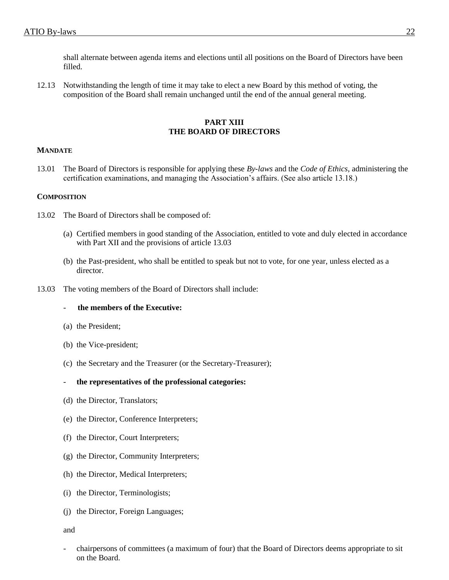shall alternate between agenda items and elections until all positions on the Board of Directors have been filled.

12.13 Notwithstanding the length of time it may take to elect a new Board by this method of voting, the composition of the Board shall remain unchanged until the end of the annual general meeting.

### **PART XIII THE BOARD OF DIRECTORS**

# **MANDATE**

13.01 The Board of Directors is responsible for applying these *By-laws* and the *Code of Ethics*, administering the certification examinations, and managing the Association's affairs. (See also article 13.18.)

#### **COMPOSITION**

- 13.02 The Board of Directors shall be composed of:
	- (a) Certified members in good standing of the Association, entitled to vote and duly elected in accordance with Part XII and the provisions of article 13.03
	- (b) the Past-president, who shall be entitled to speak but not to vote, for one year, unless elected as a director.
- 13.03 The voting members of the Board of Directors shall include:

# - **the members of the Executive:**

- (a) the President;
- (b) the Vice-president;
- (c) the Secretary and the Treasurer (or the Secretary-Treasurer);

#### - **the representatives of the professional categories:**

- (d) the Director, Translators;
- (e) the Director, Conference Interpreters;
- (f) the Director, Court Interpreters;
- (g) the Director, Community Interpreters;
- (h) the Director, Medical Interpreters;
- (i) the Director, Terminologists;
- (j) the Director, Foreign Languages;

and

- chairpersons of committees (a maximum of four) that the Board of Directors deems appropriate to sit on the Board.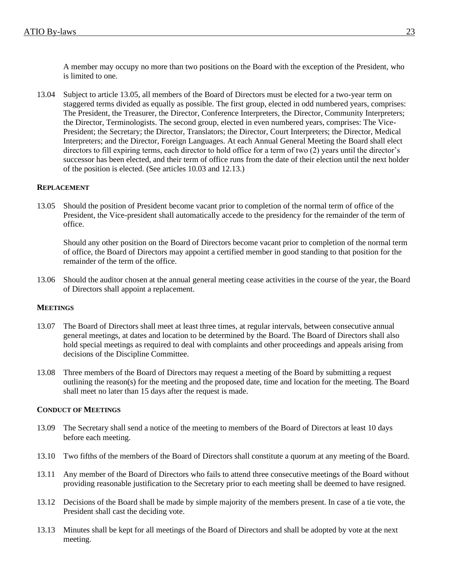A member may occupy no more than two positions on the Board with the exception of the President, who is limited to one.

13.04 Subject to article 13.05, all members of the Board of Directors must be elected for a two-year term on staggered terms divided as equally as possible. The first group, elected in odd numbered years, comprises: The President, the Treasurer, the Director, Conference Interpreters, the Director, Community Interpreters; the Director, Terminologists. The second group, elected in even numbered years, comprises: The Vice-President; the Secretary; the Director, Translators; the Director, Court Interpreters; the Director, Medical Interpreters; and the Director, Foreign Languages. At each Annual General Meeting the Board shall elect directors to fill expiring terms, each director to hold office for a term of two (2) years until the director's successor has been elected, and their term of office runs from the date of their election until the next holder of the position is elected. (See articles 10.03 and 12.13.)

# **REPLACEMENT**

13.05 Should the position of President become vacant prior to completion of the normal term of office of the President, the Vice-president shall automatically accede to the presidency for the remainder of the term of office.

Should any other position on the Board of Directors become vacant prior to completion of the normal term of office, the Board of Directors may appoint a certified member in good standing to that position for the remainder of the term of the office.

13.06 Should the auditor chosen at the annual general meeting cease activities in the course of the year, the Board of Directors shall appoint a replacement.

#### **MEETINGS**

- 13.07 The Board of Directors shall meet at least three times, at regular intervals, between consecutive annual general meetings, at dates and location to be determined by the Board. The Board of Directors shall also hold special meetings as required to deal with complaints and other proceedings and appeals arising from decisions of the Discipline Committee.
- 13.08 Three members of the Board of Directors may request a meeting of the Board by submitting a request outlining the reason(s) for the meeting and the proposed date, time and location for the meeting. The Board shall meet no later than 15 days after the request is made.

#### **CONDUCT OF MEETINGS**

- 13.09 The Secretary shall send a notice of the meeting to members of the Board of Directors at least 10 days before each meeting.
- 13.10 Two fifths of the members of the Board of Directors shall constitute a quorum at any meeting of the Board.
- 13.11 Any member of the Board of Directors who fails to attend three consecutive meetings of the Board without providing reasonable justification to the Secretary prior to each meeting shall be deemed to have resigned.
- 13.12 Decisions of the Board shall be made by simple majority of the members present. In case of a tie vote, the President shall cast the deciding vote.
- 13.13 Minutes shall be kept for all meetings of the Board of Directors and shall be adopted by vote at the next meeting.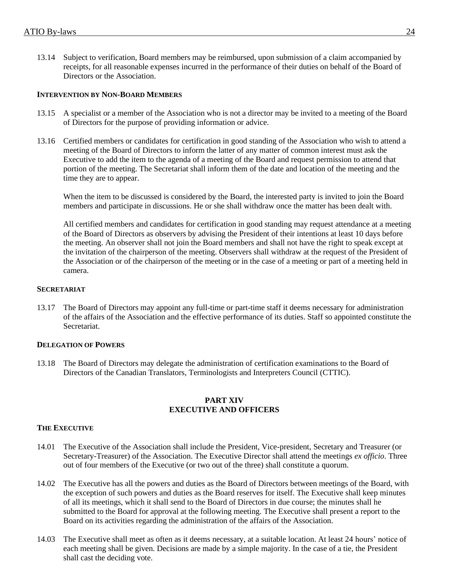13.14 Subject to verification, Board members may be reimbursed, upon submission of a claim accompanied by receipts, for all reasonable expenses incurred in the performance of their duties on behalf of the Board of Directors or the Association.

# **INTERVENTION BY NON-BOARD MEMBERS**

- 13.15 A specialist or a member of the Association who is not a director may be invited to a meeting of the Board of Directors for the purpose of providing information or advice.
- 13.16 Certified members or candidates for certification in good standing of the Association who wish to attend a meeting of the Board of Directors to inform the latter of any matter of common interest must ask the Executive to add the item to the agenda of a meeting of the Board and request permission to attend that portion of the meeting. The Secretariat shall inform them of the date and location of the meeting and the time they are to appear.

When the item to be discussed is considered by the Board, the interested party is invited to join the Board members and participate in discussions. He or she shall withdraw once the matter has been dealt with.

All certified members and candidates for certification in good standing may request attendance at a meeting of the Board of Directors as observers by advising the President of their intentions at least 10 days before the meeting. An observer shall not join the Board members and shall not have the right to speak except at the invitation of the chairperson of the meeting. Observers shall withdraw at the request of the President of the Association or of the chairperson of the meeting or in the case of a meeting or part of a meeting held in camera.

### **SECRETARIAT**

13.17 The Board of Directors may appoint any full-time or part-time staff it deems necessary for administration of the affairs of the Association and the effective performance of its duties. Staff so appointed constitute the Secretariat.

# **DELEGATION OF POWERS**

13.18 The Board of Directors may delegate the administration of certification examinations to the Board of Directors of the Canadian Translators, Terminologists and Interpreters Council (CTTIC).

#### **PART XIV EXECUTIVE AND OFFICERS**

# **THE EXECUTIVE**

- 14.01 The Executive of the Association shall include the President, Vice-president, Secretary and Treasurer (or Secretary-Treasurer) of the Association. The Executive Director shall attend the meetings *ex officio*. Three out of four members of the Executive (or two out of the three) shall constitute a quorum.
- 14.02 The Executive has all the powers and duties as the Board of Directors between meetings of the Board, with the exception of such powers and duties as the Board reserves for itself. The Executive shall keep minutes of all its meetings, which it shall send to the Board of Directors in due course; the minutes shall he submitted to the Board for approval at the following meeting. The Executive shall present a report to the Board on its activities regarding the administration of the affairs of the Association.
- 14.03 The Executive shall meet as often as it deems necessary, at a suitable location. At least 24 hours' notice of each meeting shall be given. Decisions are made by a simple majority. In the case of a tie, the President shall cast the deciding vote.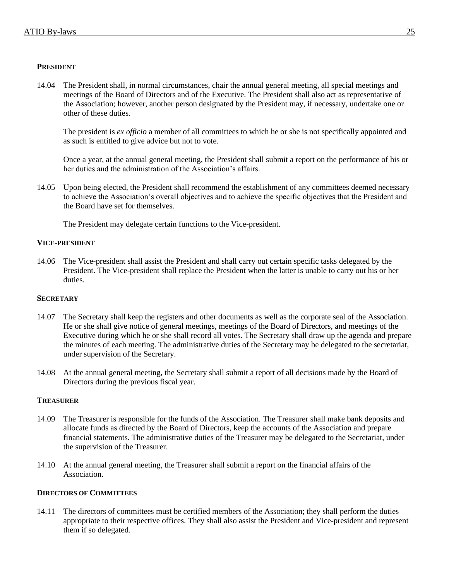# **PRESIDENT**

14.04 The President shall, in normal circumstances, chair the annual general meeting, all special meetings and meetings of the Board of Directors and of the Executive. The President shall also act as representative of the Association; however, another person designated by the President may, if necessary, undertake one or other of these duties.

The president is *ex officio* a member of all committees to which he or she is not specifically appointed and as such is entitled to give advice but not to vote.

Once a year, at the annual general meeting, the President shall submit a report on the performance of his or her duties and the administration of the Association's affairs.

14.05 Upon being elected, the President shall recommend the establishment of any committees deemed necessary to achieve the Association's overall objectives and to achieve the specific objectives that the President and the Board have set for themselves.

The President may delegate certain functions to the Vice-president.

# **VICE-PRESIDENT**

14.06 The Vice-president shall assist the President and shall carry out certain specific tasks delegated by the President. The Vice-president shall replace the President when the latter is unable to carry out his or her duties.

# **SECRETARY**

- 14.07 The Secretary shall keep the registers and other documents as well as the corporate seal of the Association. He or she shall give notice of general meetings, meetings of the Board of Directors, and meetings of the Executive during which he or she shall record all votes. The Secretary shall draw up the agenda and prepare the minutes of each meeting. The administrative duties of the Secretary may be delegated to the secretariat, under supervision of the Secretary.
- 14.08 At the annual general meeting, the Secretary shall submit a report of all decisions made by the Board of Directors during the previous fiscal year.

# **TREASURER**

- 14.09 The Treasurer is responsible for the funds of the Association. The Treasurer shall make bank deposits and allocate funds as directed by the Board of Directors, keep the accounts of the Association and prepare financial statements. The administrative duties of the Treasurer may be delegated to the Secretariat, under the supervision of the Treasurer.
- 14.10 At the annual general meeting, the Treasurer shall submit a report on the financial affairs of the Association.

# **DIRECTORS OF COMMITTEES**

14.11 The directors of committees must be certified members of the Association; they shall perform the duties appropriate to their respective offices. They shall also assist the President and Vice-president and represent them if so delegated.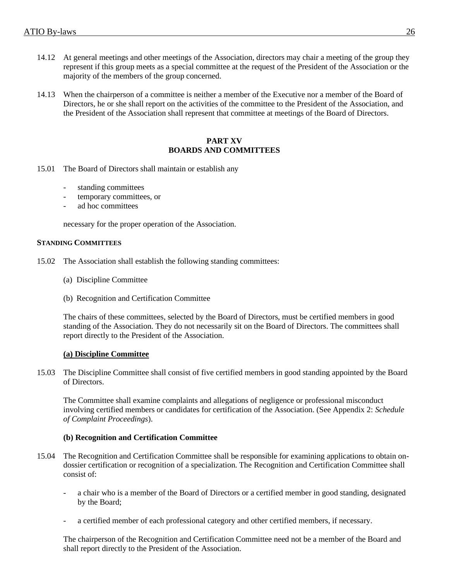- 14.12 At general meetings and other meetings of the Association, directors may chair a meeting of the group they represent if this group meets as a special committee at the request of the President of the Association or the majority of the members of the group concerned.
- 14.13 When the chairperson of a committee is neither a member of the Executive nor a member of the Board of Directors, he or she shall report on the activities of the committee to the President of the Association, and the President of the Association shall represent that committee at meetings of the Board of Directors.

#### **PART XV BOARDS AND COMMITTEES**

- 15.01 The Board of Directors shall maintain or establish any
	- standing committees
	- temporary committees, or
	- ad hoc committees

necessary for the proper operation of the Association.

#### **STANDING COMMITTEES**

- 15.02 The Association shall establish the following standing committees:
	- (a) Discipline Committee
	- (b) Recognition and Certification Committee

The chairs of these committees, selected by the Board of Directors, must be certified members in good standing of the Association. They do not necessarily sit on the Board of Directors. The committees shall report directly to the President of the Association.

#### **(a) Discipline Committee**

15.03 The Discipline Committee shall consist of five certified members in good standing appointed by the Board of Directors.

The Committee shall examine complaints and allegations of negligence or professional misconduct involving certified members or candidates for certification of the Association. (See Appendix 2: *Schedule of Complaint Proceedings*).

#### **(b) Recognition and Certification Committee**

- 15.04 The Recognition and Certification Committee shall be responsible for examining applications to obtain ondossier certification or recognition of a specialization. The Recognition and Certification Committee shall consist of:
	- a chair who is a member of the Board of Directors or a certified member in good standing, designated by the Board;
	- a certified member of each professional category and other certified members, if necessary.

The chairperson of the Recognition and Certification Committee need not be a member of the Board and shall report directly to the President of the Association.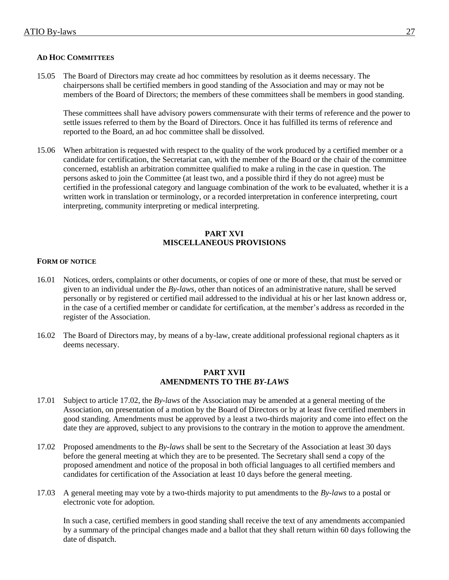# **AD HOC COMMITTEES**

15.05 The Board of Directors may create ad hoc committees by resolution as it deems necessary. The chairpersons shall be certified members in good standing of the Association and may or may not be members of the Board of Directors; the members of these committees shall be members in good standing.

These committees shall have advisory powers commensurate with their terms of reference and the power to settle issues referred to them by the Board of Directors. Once it has fulfilled its terms of reference and reported to the Board, an ad hoc committee shall be dissolved.

15.06 When arbitration is requested with respect to the quality of the work produced by a certified member or a candidate for certification, the Secretariat can, with the member of the Board or the chair of the committee concerned, establish an arbitration committee qualified to make a ruling in the case in question. The persons asked to join the Committee (at least two, and a possible third if they do not agree) must be certified in the professional category and language combination of the work to be evaluated, whether it is a written work in translation or terminology, or a recorded interpretation in conference interpreting, court interpreting, community interpreting or medical interpreting.

# **PART XVI MISCELLANEOUS PROVISIONS**

# **FORM OF NOTICE**

- 16.01 Notices, orders, complaints or other documents, or copies of one or more of these, that must be served or given to an individual under the *By-laws*, other than notices of an administrative nature, shall be served personally or by registered or certified mail addressed to the individual at his or her last known address or, in the case of a certified member or candidate for certification, at the member's address as recorded in the register of the Association.
- 16.02 The Board of Directors may, by means of a by-law, create additional professional regional chapters as it deems necessary.

#### **PART XVII AMENDMENTS TO THE** *BY-LAWS*

- 17.01 Subject to article 17.02, the *By-laws* of the Association may be amended at a general meeting of the Association, on presentation of a motion by the Board of Directors or by at least five certified members in good standing. Amendments must be approved by a least a two-thirds majority and come into effect on the date they are approved, subject to any provisions to the contrary in the motion to approve the amendment.
- 17.02 Proposed amendments to the *By-laws* shall be sent to the Secretary of the Association at least 30 days before the general meeting at which they are to be presented. The Secretary shall send a copy of the proposed amendment and notice of the proposal in both official languages to all certified members and candidates for certification of the Association at least 10 days before the general meeting.
- 17.03 A general meeting may vote by a two-thirds majority to put amendments to the *By-laws* to a postal or electronic vote for adoption.

In such a case, certified members in good standing shall receive the text of any amendments accompanied by a summary of the principal changes made and a ballot that they shall return within 60 days following the date of dispatch.